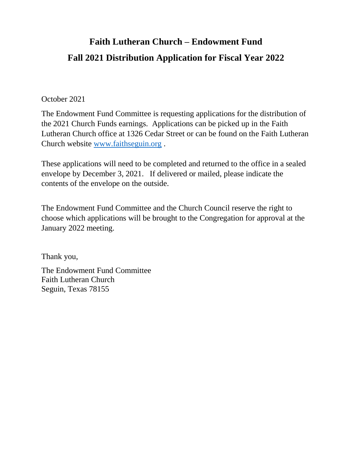# **Faith Lutheran Church – Endowment Fund Fall 2021 Distribution Application for Fiscal Year 2022**

#### October 2021

The Endowment Fund Committee is requesting applications for the distribution of the 2021 Church Funds earnings. Applications can be picked up in the Faith Lutheran Church office at 1326 Cedar Street or can be found on the Faith Lutheran Church website [www.faithseguin.org](http://www.faithseguin.org/) .

These applications will need to be completed and returned to the office in a sealed envelope by December 3, 2021. If delivered or mailed, please indicate the contents of the envelope on the outside.

The Endowment Fund Committee and the Church Council reserve the right to choose which applications will be brought to the Congregation for approval at the January 2022 meeting.

Thank you,

The Endowment Fund Committee Faith Lutheran Church Seguin, Texas 78155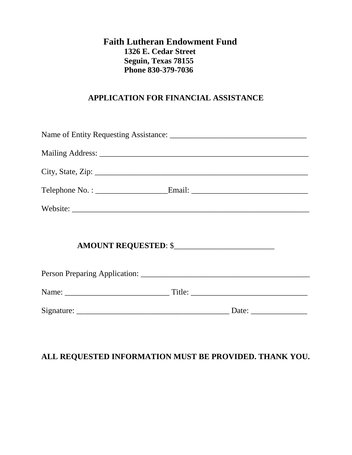#### **Faith Lutheran Endowment Fund 1326 E. Cedar Street Seguin, Texas 78155 Phone 830-379-7036**

#### **APPLICATION FOR FINANCIAL ASSISTANCE**

| Telephone No.: ________________________Email: ___________________________________ |  |  |  |  |  |  |
|-----------------------------------------------------------------------------------|--|--|--|--|--|--|
|                                                                                   |  |  |  |  |  |  |
|                                                                                   |  |  |  |  |  |  |
|                                                                                   |  |  |  |  |  |  |
|                                                                                   |  |  |  |  |  |  |
|                                                                                   |  |  |  |  |  |  |
|                                                                                   |  |  |  |  |  |  |

### **ALL REQUESTED INFORMATION MUST BE PROVIDED. THANK YOU.**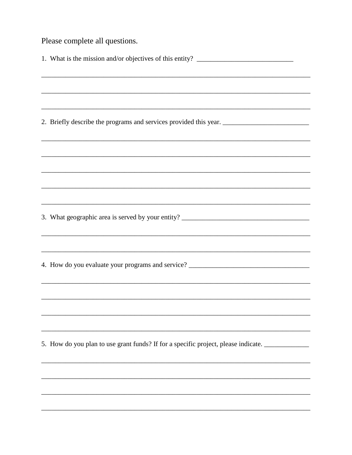Please complete all questions.

| 1. What is the mission and/or objectives of this entity? ________________________                                      |
|------------------------------------------------------------------------------------------------------------------------|
|                                                                                                                        |
|                                                                                                                        |
|                                                                                                                        |
|                                                                                                                        |
|                                                                                                                        |
| <u> 1989 - Johann Barn, mars ann an t-Amhain ann an t-Amhain ann an t-Amhain ann an t-Amhain ann an t-Amhain ann a</u> |
|                                                                                                                        |
|                                                                                                                        |
|                                                                                                                        |
|                                                                                                                        |
|                                                                                                                        |
| ,我们也不能在这里的时候,我们也不能在这里的时候,我们也不能会在这里的时候,我们也不能会在这里的时候,我们也不能会在这里的时候,我们也不能会在这里的时候,我们也不                                      |
|                                                                                                                        |
|                                                                                                                        |
|                                                                                                                        |
| 5. How do you plan to use grant funds? If for a specific project, please indicate. _______________                     |
|                                                                                                                        |
|                                                                                                                        |
|                                                                                                                        |
|                                                                                                                        |